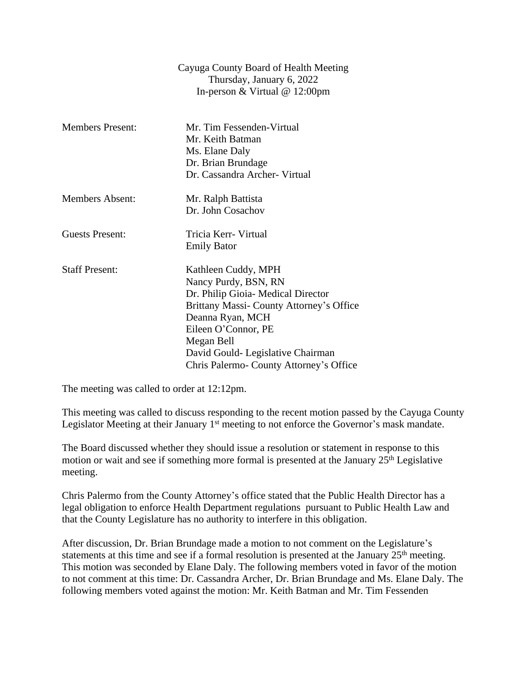|                         | Cayuga County Board of Health Meeting<br>Thursday, January 6, 2022<br>In-person & Virtual $@ 12:00 \text{pm}$                                                                                                                                                        |
|-------------------------|----------------------------------------------------------------------------------------------------------------------------------------------------------------------------------------------------------------------------------------------------------------------|
| <b>Members Present:</b> | Mr. Tim Fessenden-Virtual<br>Mr. Keith Batman<br>Ms. Elane Daly<br>Dr. Brian Brundage<br>Dr. Cassandra Archer- Virtual                                                                                                                                               |
| Members Absent:         | Mr. Ralph Battista<br>Dr. John Cosachov                                                                                                                                                                                                                              |
| <b>Guests Present:</b>  | Tricia Kerr- Virtual<br><b>Emily Bator</b>                                                                                                                                                                                                                           |
| <b>Staff Present:</b>   | Kathleen Cuddy, MPH<br>Nancy Purdy, BSN, RN<br>Dr. Philip Gioia- Medical Director<br>Brittany Massi-County Attorney's Office<br>Deanna Ryan, MCH<br>Eileen O'Connor, PE<br>Megan Bell<br>David Gould-Legislative Chairman<br>Chris Palermo- County Attorney's Office |

The meeting was called to order at 12:12pm.

This meeting was called to discuss responding to the recent motion passed by the Cayuga County Legislator Meeting at their January 1<sup>st</sup> meeting to not enforce the Governor's mask mandate.

The Board discussed whether they should issue a resolution or statement in response to this motion or wait and see if something more formal is presented at the January  $25<sup>th</sup>$  Legislative meeting.

Chris Palermo from the County Attorney's office stated that the Public Health Director has a legal obligation to enforce Health Department regulations pursuant to Public Health Law and that the County Legislature has no authority to interfere in this obligation.

After discussion, Dr. Brian Brundage made a motion to not comment on the Legislature's statements at this time and see if a formal resolution is presented at the January 25<sup>th</sup> meeting. This motion was seconded by Elane Daly. The following members voted in favor of the motion to not comment at this time: Dr. Cassandra Archer, Dr. Brian Brundage and Ms. Elane Daly. The following members voted against the motion: Mr. Keith Batman and Mr. Tim Fessenden